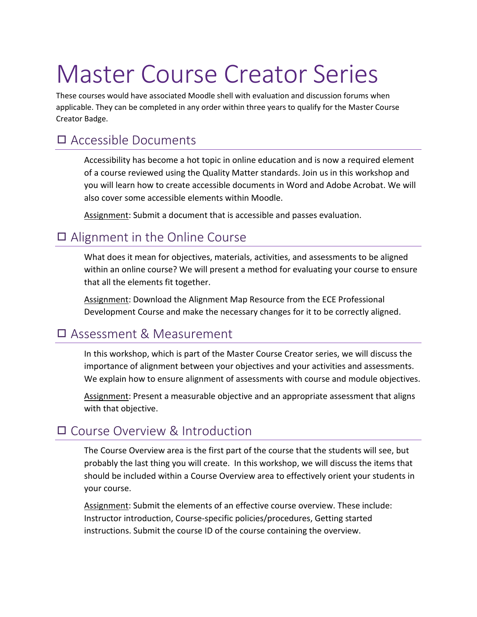# Master Course Creator Series

These courses would have associated Moodle shell with evaluation and discussion forums when applicable. They can be completed in any order within three years to qualify for the Master Course Creator Badge.

## ◻ Accessible Documents

Accessibility has become a hot topic in online education and is now a required element of a course reviewed using the Quality Matter standards. Join us in this workshop and you will learn how to create accessible documents in Word and Adobe Acrobat. We will also cover some accessible elements within Moodle.

Assignment: Submit a document that is accessible and passes evaluation.

### ◻ Alignment in the Online Course

What does it mean for objectives, materials, activities, and assessments to be aligned within an online course? We will present a method for evaluating your course to ensure that all the elements fit together.

Assignment: Download the Alignment Map Resource from the ECE Professional Development Course and make the necessary changes for it to be correctly aligned.

#### ◻ Assessment & Measurement

In this workshop, which is part of the Master Course Creator series, we will discuss the importance of alignment between your objectives and your activities and assessments. We explain how to ensure alignment of assessments with course and module objectives.

Assignment: Present a measurable objective and an appropriate assessment that aligns with that objective.

#### ◻ Course Overview & Introduction

The Course Overview area is the first part of the course that the students will see, but probably the last thing you will create. In this workshop, we will discuss the items that should be included within a Course Overview area to effectively orient your students in your course.

Assignment: Submit the elements of an effective course overview. These include: Instructor introduction, Course-specific policies/procedures, Getting started instructions. Submit the course ID of the course containing the overview.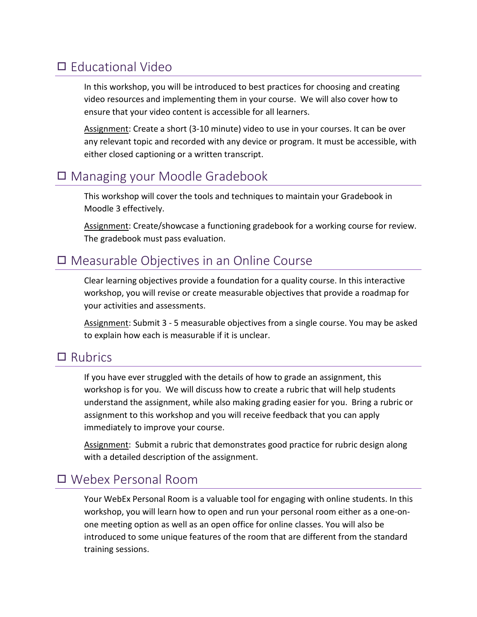## ◻ Educational Video

In this workshop, you will be introduced to best practices for choosing and creating video resources and implementing them in your course. We will also cover how to ensure that your video content is accessible for all learners.

Assignment: Create a short (3-10 minute) video to use in your courses. It can be over any relevant topic and recorded with any device or program. It must be accessible, with either closed captioning or a written transcript.

#### ◻ Managing your Moodle Gradebook

This workshop will cover the tools and techniques to maintain your Gradebook in Moodle 3 effectively.

Assignment: Create/showcase a functioning gradebook for a working course for review. The gradebook must pass evaluation.

#### ◻ Measurable Objectives in an Online Course

Clear learning objectives provide a foundation for a quality course. In this interactive workshop, you will revise or create measurable objectives that provide a roadmap for your activities and assessments.

Assignment: Submit 3 - 5 measurable objectives from a single course. You may be asked to explain how each is measurable if it is unclear.

#### ◻ Rubrics

If you have ever struggled with the details of how to grade an assignment, this workshop is for you. We will discuss how to create a rubric that will help students understand the assignment, while also making grading easier for you. Bring a rubric or assignment to this workshop and you will receive feedback that you can apply immediately to improve your course.

Assignment: Submit a rubric that demonstrates good practice for rubric design along with a detailed description of the assignment.

#### ◻ Webex Personal Room

Your WebEx Personal Room is a valuable tool for engaging with online students. In this workshop, you will learn how to open and run your personal room either as a one-onone meeting option as well as an open office for online classes. You will also be introduced to some unique features of the room that are different from the standard training sessions.